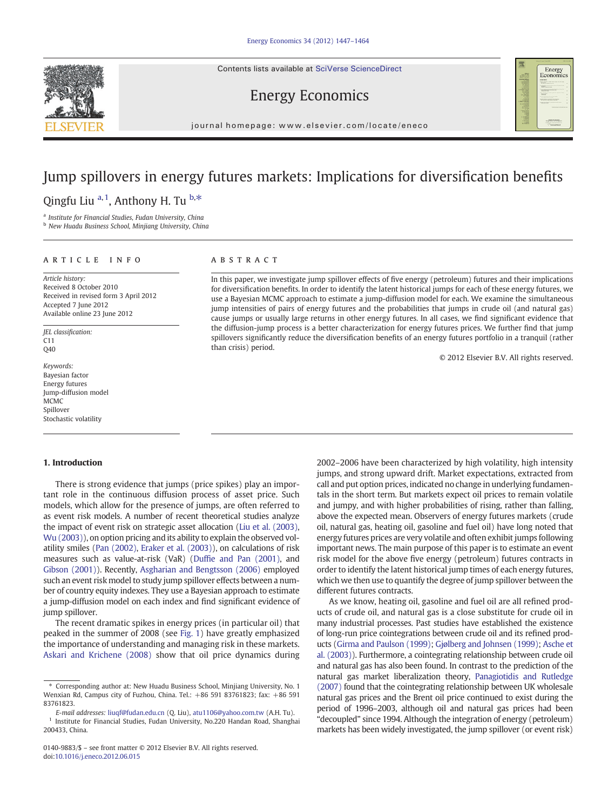Contents lists available at SciVerse ScienceDirect

# Energy Economics



journal homepage: www.elsevier.com/locate/eneco

## Jump spillovers in energy futures markets: Implications for diversification benefits

## Qingfu Liu <sup>a, 1</sup>, Anthony H. Tu <sup>b,\*</sup>

<sup>a</sup> Institute for Financial Studies, Fudan University, China

**b New Huadu Business School, Minjiang University, China** 

### article info abstract

Article history: Received 8 October 2010 Received in revised form 3 April 2012 Accepted 7 June 2012 Available online 23 June 2012

JEL classification: C11  $040$ 

Keywords: Bayesian factor Energy futures Jump-diffusion model MCMC Spillover Stochastic volatility

#### 1. Introduction

There is strong evidence that jumps (price spikes) play an important role in the continuous diffusion process of asset price. Such models, which allow for the presence of jumps, are often referred to as event risk models. A number of recent theoretical studies analyze the impact of event risk on strategic asset allocation [\(Liu et al. \(2003\),](#page--1-0) [Wu \(2003\)](#page--1-0)), on option pricing and its ability to explain the observed volatility smiles ([Pan \(2002\),](#page--1-0) [Eraker et al. \(2003\)\)](#page--1-0), on calculations of risk measures such as value-at-risk (VaR) (Duffi[e and Pan \(2001\)](#page--1-0), and [Gibson \(2001\)](#page--1-0)). Recently, [Asgharian and Bengtsson \(2006\)](#page--1-0) employed such an event risk model to study jump spillover effects between a number of country equity indexes. They use a Bayesian approach to estimate a jump-diffusion model on each index and find significant evidence of jump spillover.

The recent dramatic spikes in energy prices (in particular oil) that peaked in the summer of 2008 (see [Fig. 1](#page-1-0)) have greatly emphasized the importance of understanding and managing risk in these markets. [Askari and Krichene \(2008\)](#page--1-0) show that oil price dynamics during

In this paper, we investigate jump spillover effects of five energy (petroleum) futures and their implications for diversification benefits. In order to identify the latent historical jumps for each of these energy futures, we use a Bayesian MCMC approach to estimate a jump-diffusion model for each. We examine the simultaneous jump intensities of pairs of energy futures and the probabilities that jumps in crude oil (and natural gas) cause jumps or usually large returns in other energy futures. In all cases, we find significant evidence that the diffusion-jump process is a better characterization for energy futures prices. We further find that jump spillovers significantly reduce the diversification benefits of an energy futures portfolio in a tranquil (rather than crisis) period.

© 2012 Elsevier B.V. All rights reserved.

2002–2006 have been characterized by high volatility, high intensity jumps, and strong upward drift. Market expectations, extracted from call and put option prices, indicated no change in underlying fundamentals in the short term. But markets expect oil prices to remain volatile and jumpy, and with higher probabilities of rising, rather than falling, above the expected mean. Observers of energy futures markets (crude oil, natural gas, heating oil, gasoline and fuel oil) have long noted that energy futures prices are very volatile and often exhibit jumps following important news. The main purpose of this paper is to estimate an event risk model for the above five energy (petroleum) futures contracts in order to identify the latent historical jump times of each energy futures, which we then use to quantify the degree of jump spillover between the different futures contracts.

As we know, heating oil, gasoline and fuel oil are all refined products of crude oil, and natural gas is a close substitute for crude oil in many industrial processes. Past studies have established the existence of long-run price cointegrations between crude oil and its refined products [\(Girma and Paulson \(1999\)](#page--1-0); [Gjølberg and Johnsen \(1999\);](#page--1-0) [Asche et](#page--1-0) [al. \(2003\)\)](#page--1-0). Furthermore, a cointegrating relationship between crude oil and natural gas has also been found. In contrast to the prediction of the natural gas market liberalization theory, [Panagiotidis and Rutledge](#page--1-0) [\(2007\)](#page--1-0) found that the cointegrating relationship between UK wholesale natural gas prices and the Brent oil price continued to exist during the period of 1996–2003, although oil and natural gas prices had been "decoupled" since 1994. Although the integration of energy (petroleum) markets has been widely investigated, the jump spillover (or event risk)

Corresponding author at: New Huadu Business School, Minjiang University, No. 1 Wenxian Rd, Campus city of Fuzhou, China. Tel.: +86 591 83761823; fax: +86 591 83761823.

E-mail addresses: [liuqf@fudan.edu.cn](mailto:liuqf@fudan.edu.cn) (Q. Liu), [atu1106@yahoo.com.tw](mailto:atu1106@yahoo.com.tw) (A.H. Tu).  $1$  Institute for Financial Studies, Fudan University, No.220 Handan Road, Shanghai 200433, China.

<sup>0140-9883/\$</sup> – see front matter © 2012 Elsevier B.V. All rights reserved. doi:[10.1016/j.eneco.2012.06.015](http://dx.doi.org/10.1016/j.eneco.2012.06.015)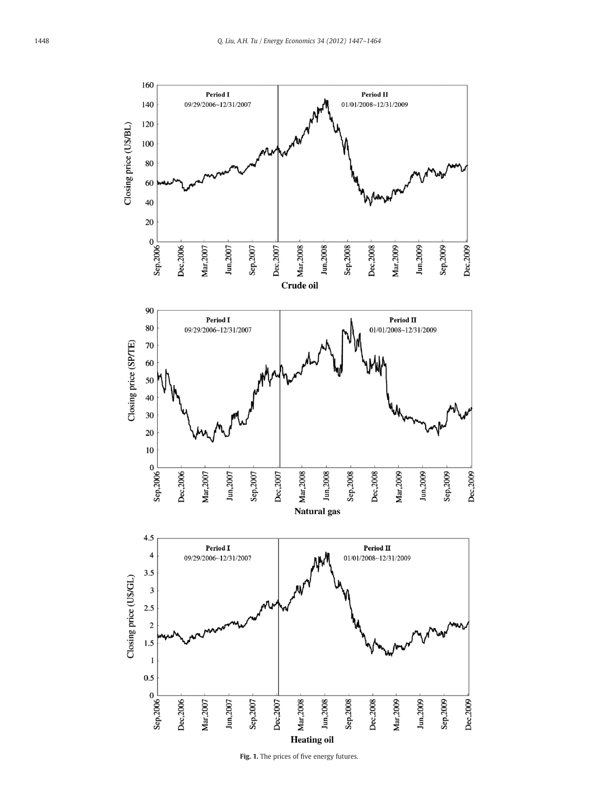<span id="page-1-0"></span>

Fig. 1. The prices of five energy futures.